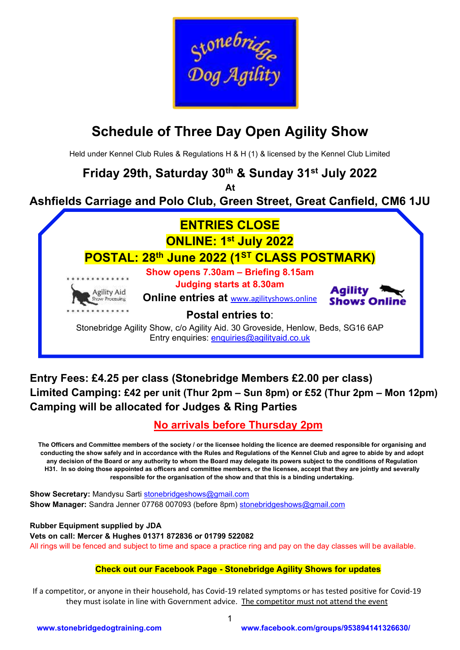

# **Schedule of Three Day Open Agility Show**

Held under Kennel Club Rules & Regulations H & H (1) & licensed by the Kennel Club Limited

## **Friday 29th, Saturday 30th & Sunday 31st July 2022**

**At**

## **Ashfields Carriage and Polo Club, Green Street, Great Canfield, CM6 1JU**



## **Entry Fees: £4.25 per class (Stonebridge Members £2.00 per class) Limited Camping: £42 per unit (Thur 2pm – Sun 8pm) or £52 (Thur 2pm – Mon 12pm) Camping will be allocated for Judges & Ring Parties**

## **No arrivals before Thursday 2pm**

**The Officers and Committee members of the society / or the licensee holding the licence are deemed responsible for organising and conducting the show safely and in accordance with the Rules and Regulations of the Kennel Club and agree to abide by and adopt any decision of the Board or any authority to whom the Board may delegate its powers subject to the conditions of Regulation H31. In so doing those appointed as officers and committee members, or the licensee, accept that they are jointly and severally responsible for the organisation of the show and that this is a binding undertaking.**

**Show Secretary:** Mandysu Sarti [st](mailto:s)onebridgeshows@gmail.com **Show Manager:** Sandra Jenner 07768 007093 (before 8pm) [st](mailto:s)onebridgeshows@gmail.com

**Rubber Equipment supplied by JDA Vets on call: Mercer & Hughes 01371 872836 or 01799 522082** All rings will be fenced and subject to time and space a practice ring and pay on the day classes will be available.

## **Check out our Facebook Page - Stonebridge Agility Shows for updates**

If a competitor, or anyone in their household, has Covid-19 related symptoms or has tested positive for Covid-19 they must isolate in line with Government advice. The competitor must not attend the event

1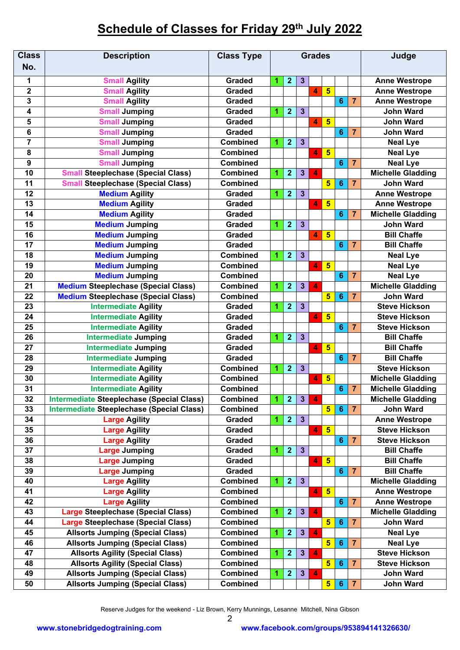## **Schedule of Classes for Friday 29 th July 2022**

| <b>Class</b><br>No.     | <b>Description</b>                               | <b>Class Type</b> | <b>Grades</b>       |                              |                         |                         |                         |                                            |                | Judge                    |   |                 |  |                      |
|-------------------------|--------------------------------------------------|-------------------|---------------------|------------------------------|-------------------------|-------------------------|-------------------------|--------------------------------------------|----------------|--------------------------|---|-----------------|--|----------------------|
|                         |                                                  |                   |                     |                              |                         |                         |                         |                                            |                |                          |   |                 |  |                      |
| 1                       | <b>Small Agility</b>                             | <b>Graded</b>     | 1                   | $\overline{2}$               | $\mathbf{3}$            |                         |                         |                                            |                | <b>Anne Westrope</b>     |   |                 |  |                      |
| $\mathbf 2$             | <b>Small Agility</b>                             | Graded            |                     |                              |                         | $\overline{\mathbf{A}}$ | $5\overline{)}$         |                                            |                | <b>Anne Westrope</b>     |   |                 |  |                      |
| 3                       | <b>Small Agility</b>                             | <b>Graded</b>     |                     |                              |                         |                         |                         | 6                                          | $\overline{7}$ | <b>Anne Westrope</b>     |   |                 |  |                      |
| $\overline{\mathbf{4}}$ | <b>Small Jumping</b>                             | <b>Graded</b>     | 1                   | $\overline{2}$               | $\mathbf{3}$            |                         |                         |                                            |                | <b>John Ward</b>         |   |                 |  |                      |
| 5                       | <b>Small Jumping</b>                             | <b>Graded</b>     |                     |                              |                         | 4                       | $5\phantom{1}$          |                                            |                | <b>John Ward</b>         |   |                 |  |                      |
| 6                       | <b>Small Jumping</b>                             | <b>Graded</b>     |                     |                              |                         |                         |                         | $6\phantom{1}6$                            | 7              | <b>John Ward</b>         |   |                 |  |                      |
| $\overline{7}$          | <b>Small Jumping</b>                             | <b>Combined</b>   | 1                   | $\overline{2}$               | $\mathbf{3}$            |                         |                         |                                            |                | <b>Neal Lye</b>          |   |                 |  |                      |
| 8                       | <b>Small Jumping</b>                             | <b>Combined</b>   |                     |                              |                         | 4                       | 5                       |                                            |                | <b>Neal Lye</b>          |   |                 |  |                      |
| 9                       | <b>Small Jumping</b>                             | <b>Combined</b>   |                     |                              |                         |                         | 6                       |                                            | $\overline{7}$ | <b>Neal Lye</b>          |   |                 |  |                      |
| 10                      | <b>Small Steeplechase (Special Class)</b>        | <b>Combined</b>   | 1                   | $\overline{2}$               | $\mathbf{3}$            | 4                       |                         |                                            |                | <b>Michelle Gladding</b> |   |                 |  |                      |
| 11                      | <b>Small Steeplechase (Special Class)</b>        | <b>Combined</b>   |                     |                              |                         |                         | 5                       | 6                                          | 7              | <b>John Ward</b>         |   |                 |  |                      |
| 12                      | <b>Medium Agility</b>                            | <b>Graded</b>     | 1                   | $\mathbf{2}$<br>$\mathbf{3}$ |                         |                         |                         |                                            |                | <b>Anne Westrope</b>     |   |                 |  |                      |
| 13                      | <b>Medium Agility</b>                            | <b>Graded</b>     |                     |                              |                         | 4                       | $5\overline{)}$         |                                            |                | <b>Anne Westrope</b>     |   |                 |  |                      |
| 14                      | <b>Medium Agility</b>                            | <b>Graded</b>     |                     |                              |                         |                         |                         | 6                                          | 7              | <b>Michelle Gladding</b> |   |                 |  |                      |
| 15                      | <b>Medium Jumping</b>                            | <b>Graded</b>     | 1                   | $\overline{2}$               | $\mathbf{3}$            |                         |                         |                                            |                | <b>John Ward</b>         |   |                 |  |                      |
| 16                      | <b>Medium Jumping</b>                            | <b>Graded</b>     |                     |                              |                         | 4                       | $5\overline{)}$         |                                            |                | <b>Bill Chaffe</b>       |   |                 |  |                      |
| 17                      | <b>Medium Jumping</b>                            | <b>Graded</b>     |                     |                              |                         |                         |                         | 6                                          | $\overline{7}$ | <b>Bill Chaffe</b>       |   |                 |  |                      |
| 18                      | <b>Medium Jumping</b>                            | <b>Combined</b>   | 1                   | $\overline{2}$               | $\mathbf{3}$            |                         |                         |                                            |                | <b>Neal Lye</b>          |   |                 |  |                      |
| 19                      | <b>Medium Jumping</b>                            | <b>Combined</b>   |                     |                              |                         | 4                       | $5\phantom{1}$          |                                            |                | <b>Neal Lye</b>          |   |                 |  |                      |
| 20                      | <b>Medium Jumping</b>                            | <b>Combined</b>   |                     |                              |                         |                         |                         | 6                                          | $\overline{7}$ | <b>Neal Lye</b>          |   |                 |  |                      |
| 21                      | <b>Medium Steeplechase (Special Class)</b>       | <b>Combined</b>   | 1                   | $\overline{2}$               | $\mathbf{3}$            | 4                       |                         |                                            |                | <b>Michelle Gladding</b> |   |                 |  |                      |
| 22                      | <b>Medium Steeplechase (Special Class)</b>       | <b>Combined</b>   |                     |                              |                         |                         | $5\phantom{1}$          | $6\phantom{1}6$                            | $\overline{7}$ | <b>John Ward</b>         |   |                 |  |                      |
| 23                      | <b>Intermediate Agility</b>                      | <b>Graded</b>     | 1                   | $\overline{2}$               | $\overline{\mathbf{3}}$ |                         |                         |                                            |                | <b>Steve Hickson</b>     |   |                 |  |                      |
| 24                      | <b>Intermediate Agility</b>                      | Graded            |                     |                              |                         | 4                       | $5\phantom{1}$          |                                            |                | <b>Steve Hickson</b>     |   |                 |  |                      |
| 25                      | <b>Intermediate Agility</b>                      | <b>Graded</b>     |                     |                              |                         |                         |                         | $6\phantom{1}6$                            | 7              | <b>Steve Hickson</b>     |   |                 |  |                      |
| 26                      | <b>Intermediate Jumping</b>                      | <b>Graded</b>     | 1                   | $\overline{2}$               | $\overline{\mathbf{3}}$ |                         |                         |                                            |                | <b>Bill Chaffe</b>       |   |                 |  |                      |
| 27                      | <b>Intermediate Jumping</b>                      | <b>Graded</b>     |                     |                              |                         | 4                       | $5\phantom{1}$          |                                            |                | <b>Bill Chaffe</b>       |   |                 |  |                      |
| 28                      | <b>Intermediate Jumping</b>                      | <b>Graded</b>     |                     |                              |                         |                         |                         | 6                                          | $\overline{7}$ | <b>Bill Chaffe</b>       |   |                 |  |                      |
| 29                      | <b>Intermediate Agility</b>                      | <b>Combined</b>   | 1                   | $\overline{2}$               | $\mathbf{3}$            |                         |                         |                                            |                | <b>Steve Hickson</b>     |   |                 |  |                      |
| 30                      | <b>Intermediate Agility</b>                      | <b>Combined</b>   |                     |                              |                         | $5\phantom{1}$<br>4     |                         |                                            |                | <b>Michelle Gladding</b> |   |                 |  |                      |
| 31                      | <b>Intermediate Agility</b>                      | <b>Combined</b>   |                     |                              |                         |                         |                         | $6\phantom{1}$                             | $\overline{7}$ | <b>Michelle Gladding</b> |   |                 |  |                      |
| 32                      | <b>Intermediate Steeplechase (Special Class)</b> | <b>Combined</b>   | 1                   | $\overline{\mathbf{2}}$      | $\mathbf{3}$            | 4                       |                         |                                            |                | <b>Michelle Gladding</b> |   |                 |  |                      |
| 33                      | <b>Intermediate Steeplechase (Special Class)</b> | <b>Combined</b>   |                     |                              |                         |                         | $5\overline{)}$         | $6\phantom{1}6$                            | $\overline{7}$ | <b>John Ward</b>         |   |                 |  |                      |
| 34                      | <b>Large Agility</b>                             | <b>Graded</b>     | 1                   | $\overline{2}$               |                         |                         |                         | $\mathbf{3}$                               |                |                          |   |                 |  | <b>Anne Westrope</b> |
| 35                      | <b>Large Agility</b>                             | Graded            |                     |                              |                         | 4                       | 5                       |                                            |                | <b>Steve Hickson</b>     |   |                 |  |                      |
| 36                      | <b>Large Agility</b>                             | <b>Graded</b>     |                     |                              |                         |                         |                         | $6\phantom{1}$                             | 7              | <b>Steve Hickson</b>     |   |                 |  |                      |
| 37                      | Large Jumping                                    | Graded            | 1                   | $\overline{2}$               | $\mathbf{3}$            |                         |                         |                                            |                | <b>Bill Chaffe</b>       |   |                 |  |                      |
| 38                      | <b>Large Jumping</b>                             | Graded            |                     |                              |                         | 4                       | 5                       |                                            |                | <b>Bill Chaffe</b>       |   |                 |  |                      |
| 39                      | <b>Large Jumping</b>                             | Graded            |                     |                              |                         |                         |                         | $6\phantom{1}$                             | $\overline{7}$ | <b>Bill Chaffe</b>       |   |                 |  |                      |
| 40                      | <b>Large Agility</b>                             | <b>Combined</b>   | $\overline{2}$<br>1 |                              | $\mathbf{3}$            |                         |                         |                                            |                | <b>Michelle Gladding</b> |   |                 |  |                      |
| 41                      | <b>Large Agility</b>                             | Combined          |                     |                              |                         | 4                       | $5\phantom{1}$          |                                            |                | <b>Anne Westrope</b>     |   |                 |  |                      |
| 42                      | <b>Large Agility</b>                             | <b>Combined</b>   |                     |                              |                         |                         |                         | 6                                          | 7              | <b>Anne Westrope</b>     |   |                 |  |                      |
| 43                      | <b>Large Steeplechase (Special Class)</b>        | <b>Combined</b>   | 1                   | $\overline{2}$               | $\mathbf{3}$            | $\boldsymbol{A}$        |                         |                                            |                | <b>Michelle Gladding</b> |   |                 |  |                      |
| 44                      | <b>Large Steeplechase (Special Class)</b>        | <b>Combined</b>   |                     |                              |                         |                         | $5\overline{)}$         | $6\phantom{1}6$                            | 7              | <b>John Ward</b>         |   |                 |  |                      |
| 45                      | <b>Allsorts Jumping (Special Class)</b>          | <b>Combined</b>   | $\mathbf{2}$<br>1   |                              |                         |                         | $\mathbf{3}$<br>4       |                                            |                |                          |   | <b>Neal Lye</b> |  |                      |
| 46                      | <b>Allsorts Jumping (Special Class)</b>          | <b>Combined</b>   |                     |                              |                         |                         |                         | $\overline{\mathbf{5}}$<br>$6\phantom{1}6$ |                |                          | 7 | <b>Neal Lye</b> |  |                      |
| 47                      | <b>Allsorts Agility (Special Class)</b>          | <b>Combined</b>   | 1                   | $\mathbf{2}$                 | $3\phantom{a}$          | 4                       |                         |                                            |                | <b>Steve Hickson</b>     |   |                 |  |                      |
| 48                      | <b>Allsorts Agility (Special Class)</b>          | Combined          |                     |                              |                         |                         | $5\phantom{a}$          | $6\phantom{1}6$                            | 7              | <b>Steve Hickson</b>     |   |                 |  |                      |
| 49                      | <b>Allsorts Jumping (Special Class)</b>          | <b>Combined</b>   | 1                   | $\mathbf{2}$                 | $\mathbf{3}$            | $\boldsymbol{A}$        |                         |                                            |                | <b>John Ward</b>         |   |                 |  |                      |
| 50                      | <b>Allsorts Jumping (Special Class)</b>          | <b>Combined</b>   |                     |                              |                         |                         | $\overline{\mathbf{5}}$ | 6                                          | 7              | <b>John Ward</b>         |   |                 |  |                      |
|                         |                                                  |                   |                     |                              |                         |                         |                         |                                            |                |                          |   |                 |  |                      |

Reserve Judges for the weekend - Liz Brown, Kerry Munnings, Lesanne Mitchell, Nina Gibson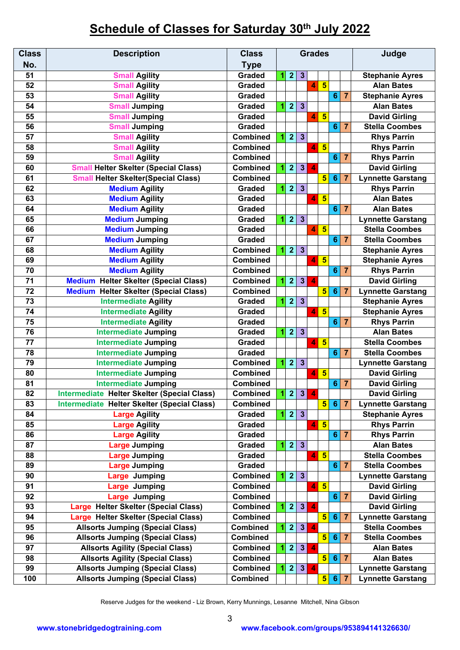## **Schedule of Classes for Saturday 30th July 2022**

| <b>Class</b>    | <b>Description</b>                           | <b>Class</b>    |   | <b>Grades</b>                    |                         |                         |                         |                     | Judge          |                                                     |                       |                          |  |                       |
|-----------------|----------------------------------------------|-----------------|---|----------------------------------|-------------------------|-------------------------|-------------------------|---------------------|----------------|-----------------------------------------------------|-----------------------|--------------------------|--|-----------------------|
| No.             |                                              | <b>Type</b>     |   |                                  |                         |                         |                         |                     |                |                                                     |                       |                          |  |                       |
| 51              | <b>Small Agility</b>                         | <b>Graded</b>   | 1 | $\overline{2}$                   | $\mathbf{3}$            |                         |                         |                     |                | <b>Stephanie Ayres</b>                              |                       |                          |  |                       |
| 52              | <b>Small Agility</b>                         | <b>Graded</b>   |   |                                  |                         | 4                       | 5                       |                     |                | <b>Alan Bates</b>                                   |                       |                          |  |                       |
| 53              | <b>Small Agility</b>                         | Graded          |   |                                  |                         |                         |                         | $6\phantom{1}6$     | $\overline{7}$ | <b>Stephanie Ayres</b>                              |                       |                          |  |                       |
| 54              | <b>Small Jumping</b>                         | Graded          | 1 | $\overline{2}$                   | $\mathbf{3}$            |                         |                         |                     |                | <b>Alan Bates</b>                                   |                       |                          |  |                       |
| 55              | <b>Small Jumping</b>                         | <b>Graded</b>   |   |                                  |                         | $\overline{\mathbf{A}}$ | $\overline{\mathbf{5}}$ |                     |                | <b>David Girling</b>                                |                       |                          |  |                       |
| 56              | <b>Small Jumping</b>                         | <b>Graded</b>   |   |                                  |                         |                         |                         | $6\phantom{1}$      | $\overline{7}$ | <b>Stella Coombes</b>                               |                       |                          |  |                       |
| 57              | <b>Small Agility</b>                         | <b>Combined</b> | 1 | $\overline{2}$                   | $\mathbf{3}$            |                         |                         |                     |                | <b>Rhys Parrin</b>                                  |                       |                          |  |                       |
| 58              | <b>Small Agility</b>                         | <b>Combined</b> |   |                                  |                         | $\overline{4}$          | $\overline{\mathbf{5}}$ |                     |                | <b>Rhys Parrin</b>                                  |                       |                          |  |                       |
| 59              | <b>Small Agility</b>                         | <b>Combined</b> |   |                                  |                         |                         |                         | 6                   | $\overline{7}$ | <b>Rhys Parrin</b>                                  |                       |                          |  |                       |
| 60              | <b>Small Helter Skelter (Special Class)</b>  | <b>Combined</b> | 1 | $\overline{2}$<br>$3\phantom{a}$ |                         | $\blacktriangle$        |                         |                     |                | <b>David Girling</b>                                |                       |                          |  |                       |
| 61              | <b>Small Helter Skelter(Special Class)</b>   | <b>Combined</b> |   |                                  |                         |                         | $5\overline{)}$         | $6\phantom{1}6$     | $\overline{7}$ | <b>Lynnette Garstang</b>                            |                       |                          |  |                       |
| 62              | <b>Medium Agility</b>                        | <b>Graded</b>   | 1 | $\overline{2}$                   | $\mathbf{3}$            |                         |                         |                     |                | <b>Rhys Parrin</b>                                  |                       |                          |  |                       |
| 63              | <b>Medium Agility</b>                        | <b>Graded</b>   |   |                                  |                         | 4                       | $5\overline{5}$         |                     |                | <b>Alan Bates</b>                                   |                       |                          |  |                       |
| 64              | <b>Medium Agility</b>                        | <b>Graded</b>   |   |                                  |                         |                         |                         |                     | 6 7            | <b>Alan Bates</b>                                   |                       |                          |  |                       |
| 65              | <b>Medium Jumping</b>                        | <b>Graded</b>   | 1 | $\overline{2}$                   | $\overline{3}$          |                         |                         |                     |                | <b>Lynnette Garstang</b>                            |                       |                          |  |                       |
| 66              | <b>Medium Jumping</b>                        | <b>Graded</b>   |   |                                  |                         | 4                       | $\overline{\mathbf{5}}$ |                     |                | <b>Stella Coombes</b>                               |                       |                          |  |                       |
| 67              | <b>Medium Jumping</b>                        | <b>Graded</b>   |   |                                  |                         |                         |                         | $6\phantom{1}$      | $\overline{7}$ | <b>Stella Coombes</b>                               |                       |                          |  |                       |
| 68              | <b>Medium Agility</b>                        | <b>Combined</b> | 1 | $\overline{2}$                   | $\overline{\mathbf{3}}$ |                         |                         |                     |                | <b>Stephanie Ayres</b>                              |                       |                          |  |                       |
| 69              | <b>Medium Agility</b>                        | <b>Combined</b> |   |                                  |                         | 4                       | $5\overline{5}$         |                     |                | <b>Stephanie Ayres</b>                              |                       |                          |  |                       |
| 70              | <b>Medium Agility</b>                        | <b>Combined</b> |   |                                  |                         |                         |                         | $6\phantom{1}6$     | $\overline{7}$ | <b>Rhys Parrin</b>                                  |                       |                          |  |                       |
| 71              | <b>Medium Helter Skelter (Special Class)</b> | <b>Combined</b> | 1 | $\overline{\mathbf{2}}$          | 3 <sup>1</sup>          | $\overline{\mathbf{A}}$ |                         |                     |                | <b>David Girling</b>                                |                       |                          |  |                       |
| 72              | <b>Medium Helter Skelter (Special Class)</b> | <b>Combined</b> |   |                                  |                         |                         | $5\phantom{1}$          | $6\phantom{1}6$     | $\overline{7}$ | <b>Lynnette Garstang</b>                            |                       |                          |  |                       |
| 73              | <b>Intermediate Agility</b>                  | <b>Graded</b>   | 1 | $\overline{2}$                   | $\overline{\mathbf{3}}$ |                         |                         |                     |                | <b>Stephanie Ayres</b>                              |                       |                          |  |                       |
| 74              | <b>Intermediate Agility</b>                  | <b>Graded</b>   |   |                                  |                         | 4                       | $\overline{\mathbf{5}}$ |                     |                | <b>Stephanie Ayres</b>                              |                       |                          |  |                       |
| 75              | <b>Intermediate Agility</b>                  | Graded          |   |                                  |                         |                         |                         |                     | $6 \mid 7$     | <b>Rhys Parrin</b>                                  |                       |                          |  |                       |
| 76              | <b>Intermediate Jumping</b>                  | <b>Graded</b>   | 1 | $\overline{2}$                   | $\mathbf{3}$            |                         |                         |                     |                | <b>Alan Bates</b>                                   |                       |                          |  |                       |
| 77              | <b>Intermediate Jumping</b>                  | Graded          |   |                                  |                         | 4                       | $5\overline{5}$         |                     |                | <b>Stella Coombes</b>                               |                       |                          |  |                       |
| $\overline{78}$ | <b>Intermediate Jumping</b>                  | <b>Graded</b>   |   |                                  |                         |                         |                         | $6\phantom{1}6$     | $\overline{7}$ | <b>Stella Coombes</b>                               |                       |                          |  |                       |
| 79              | <b>Intermediate Jumping</b>                  | <b>Combined</b> | 1 | $\overline{2}$                   | $\overline{\mathbf{3}}$ |                         |                         |                     |                | <b>Lynnette Garstang</b>                            |                       |                          |  |                       |
| 80              | <b>Intermediate Jumping</b>                  | <b>Combined</b> |   |                                  |                         | 4                       | $5\phantom{1}$          |                     |                | <b>David Girling</b>                                |                       |                          |  |                       |
| $\overline{81}$ | <b>Intermediate Jumping</b>                  | <b>Combined</b> |   |                                  |                         |                         |                         | $6\phantom{1}6$     | $\overline{7}$ | <b>David Girling</b>                                |                       |                          |  |                       |
| 82              | Intermediate Helter Skelter (Special Class)  | <b>Combined</b> |   | 123                              |                         | $\blacktriangle$        |                         |                     |                | <b>David Girling</b>                                |                       |                          |  |                       |
| 83              | Intermediate Helter Skelter (Special Class)  | <b>Combined</b> |   |                                  |                         |                         | 5 <sup>1</sup>          |                     | $6 \mid 7$     | <b>Lynnette Garstang</b>                            |                       |                          |  |                       |
| 84              | <b>Large Agility</b>                         | <b>Graded</b>   | 1 |                                  | 2 3                     |                         |                         |                     |                | <b>Stephanie Ayres</b>                              |                       |                          |  |                       |
| 85              | <b>Large Agility</b>                         | <b>Graded</b>   |   |                                  |                         | 4                       | $5\phantom{1}$          |                     |                | <b>Rhys Parrin</b>                                  |                       |                          |  |                       |
| 86              | <b>Large Agility</b>                         | Graded          |   |                                  |                         |                         |                         | $6\phantom{1}$      | 7              | <b>Rhys Parrin</b>                                  |                       |                          |  |                       |
| 87              | <b>Large Jumping</b>                         | Graded          | 1 | 2                                | $\overline{\mathbf{3}}$ |                         |                         |                     |                | <b>Alan Bates</b>                                   |                       |                          |  |                       |
| 88              | <b>Large Jumping</b>                         | Graded          |   |                                  |                         | $\overline{4}$          | $5\overline{5}$         |                     |                | <b>Stella Coombes</b>                               |                       |                          |  |                       |
| 89              | <b>Large Jumping</b>                         | Graded          |   |                                  |                         |                         |                         |                     | $6 \mid 7$     | <b>Stella Coombes</b>                               |                       |                          |  |                       |
| 90              | Large Jumping                                | <b>Combined</b> | 1 | 2 <sub>2</sub>                   | 3                       |                         |                         |                     |                | <b>Lynnette Garstang</b>                            |                       |                          |  |                       |
| 91              | <b>Large Jumping</b>                         | <b>Combined</b> |   |                                  |                         | $\vert$                 | $5\phantom{1}$          |                     |                | <b>David Girling</b>                                |                       |                          |  |                       |
| 92              | <b>Large Jumping</b>                         | <b>Combined</b> |   |                                  |                         |                         |                         |                     | 6 7            | <b>David Girling</b>                                |                       |                          |  |                       |
| 93              | Large Helter Skelter (Special Class)         | <b>Combined</b> | 1 | $\overline{\mathbf{2}}$          | 3 <sup>1</sup>          | $\blacktriangle$        |                         |                     |                | <b>David Girling</b>                                |                       |                          |  |                       |
| 94              | Large Helter Skelter (Special Class)         | <b>Combined</b> |   |                                  |                         |                         |                         |                     |                | 5 <sub>l</sub><br>$6\phantom{1}6$<br>$\overline{7}$ |                       | <b>Lynnette Garstang</b> |  |                       |
| 95              | <b>Allsorts Jumping (Special Class)</b>      | <b>Combined</b> | 1 | $\overline{2}$                   |                         | 3 <sup>2</sup>          |                         | 4                   |                |                                                     |                       |                          |  | <b>Stella Coombes</b> |
| 96              | <b>Allsorts Jumping (Special Class)</b>      | <b>Combined</b> |   |                                  |                         |                         |                         | 5 <sup>1</sup><br>6 |                |                                                     | <b>Stella Coombes</b> |                          |  |                       |
| 97              | <b>Allsorts Agility (Special Class)</b>      | <b>Combined</b> | 1 | 2                                | 3 <sup>1</sup>          | 4                       |                         |                     |                | <b>Alan Bates</b>                                   |                       |                          |  |                       |
| 98              | <b>Allsorts Agility (Special Class)</b>      | <b>Combined</b> |   |                                  |                         |                         | 5                       | $6\phantom{1}$      | $\overline{7}$ | <b>Alan Bates</b>                                   |                       |                          |  |                       |
| 99              | <b>Allsorts Jumping (Special Class)</b>      | <b>Combined</b> | 1 | $\mathbf{2}$                     | 3                       | 4                       |                         |                     |                | <b>Lynnette Garstang</b>                            |                       |                          |  |                       |
| 100             | <b>Allsorts Jumping (Special Class)</b>      | Combined        |   |                                  |                         |                         | 5 <sub>1</sub>          |                     | 6 7            | <b>Lynnette Garstang</b>                            |                       |                          |  |                       |

Reserve Judges for the weekend - Liz Brown, Kerry Munnings, Lesanne Mitchell, Nina Gibson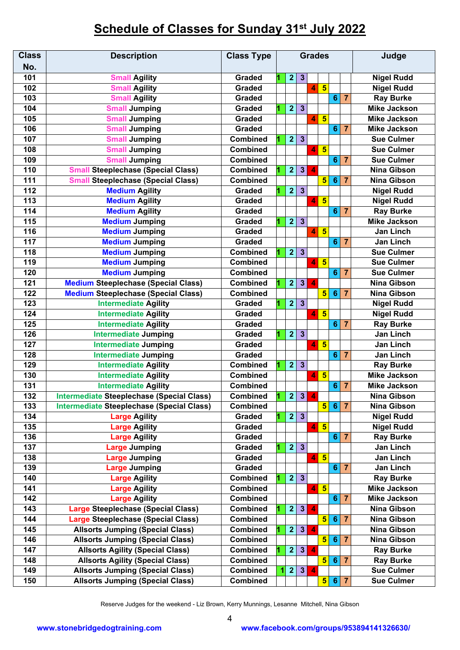## **Schedule of Classes for Sunday 31 st July 2022**

| <b>Class</b>     | <b>Description</b>                               | <b>Class Type</b> | <b>Grades</b> |                                  |                         |                         |                         |                          |                 | Judge               |  |
|------------------|--------------------------------------------------|-------------------|---------------|----------------------------------|-------------------------|-------------------------|-------------------------|--------------------------|-----------------|---------------------|--|
| No.              |                                                  |                   |               |                                  |                         |                         |                         |                          |                 |                     |  |
| 101              | <b>Small Agility</b>                             | <b>Graded</b>     |               | $\overline{2}$                   | $\mathbf{3}$            |                         |                         |                          |                 | <b>Nigel Rudd</b>   |  |
| 102              | <b>Small Agility</b>                             | <b>Graded</b>     |               |                                  |                         | 4                       | 5                       |                          |                 | <b>Nigel Rudd</b>   |  |
| 103              | <b>Small Agility</b>                             | <b>Graded</b>     |               |                                  |                         |                         |                         | $6\phantom{1}6$          | $\overline{7}$  | <b>Ray Burke</b>    |  |
| 104              | <b>Small Jumping</b>                             | <b>Graded</b>     |               | $\overline{2}$                   | $\mathbf{3}$            |                         |                         |                          |                 | <b>Mike Jackson</b> |  |
| 105              | <b>Small Jumping</b>                             | <b>Graded</b>     |               |                                  |                         | $\blacktriangleleft$    | $5\phantom{1}$          |                          |                 | <b>Mike Jackson</b> |  |
| 106              | <b>Small Jumping</b>                             | <b>Graded</b>     |               |                                  |                         |                         |                         | 6                        | $\overline{7}$  | <b>Mike Jackson</b> |  |
| 107              | <b>Small Jumping</b>                             | <b>Combined</b>   |               | $\overline{2}$                   | $\mathbf{3}$            |                         |                         |                          |                 | <b>Sue Culmer</b>   |  |
| 108              | <b>Small Jumping</b>                             | <b>Combined</b>   |               |                                  |                         | 4                       | $5\overline{5}$         |                          |                 | <b>Sue Culmer</b>   |  |
| 109              | <b>Small Jumping</b>                             | <b>Combined</b>   |               |                                  |                         |                         |                         | $6\phantom{1}6$          | $\overline{7}$  | <b>Sue Culmer</b>   |  |
| 110              | <b>Small Steeplechase (Special Class)</b>        | <b>Combined</b>   |               | $\overline{2}$<br>3 <sup>2</sup> |                         | $\overline{\mathbf{A}}$ |                         |                          |                 | <b>Nina Gibson</b>  |  |
| 111              | <b>Small Steeplechase (Special Class)</b>        | <b>Combined</b>   |               |                                  |                         |                         | $\overline{\mathbf{5}}$ | $6\phantom{1}$           | $\overline{7}$  | <b>Nina Gibson</b>  |  |
| 112              | <b>Medium Agility</b>                            | <b>Graded</b>     |               | $\overline{2}$                   | $\mathbf{3}$            |                         |                         |                          |                 | <b>Nigel Rudd</b>   |  |
| 113              | <b>Medium Agility</b>                            | <b>Graded</b>     |               |                                  |                         | 4                       | $5\phantom{1}$          |                          |                 | <b>Nigel Rudd</b>   |  |
| 114              | <b>Medium Agility</b>                            | <b>Graded</b>     |               |                                  |                         |                         |                         | $6\phantom{1}6$          | $\overline{7}$  | <b>Ray Burke</b>    |  |
| 115              | <b>Medium Jumping</b>                            | <b>Graded</b>     |               | $\overline{2}$                   | $\mathbf{3}$            |                         |                         |                          |                 | <b>Mike Jackson</b> |  |
| 116              | <b>Medium Jumping</b>                            | <b>Graded</b>     |               |                                  |                         | 4                       | $5\phantom{1}$          |                          |                 | <b>Jan Linch</b>    |  |
| 117              | <b>Medium Jumping</b>                            | <b>Graded</b>     |               |                                  |                         |                         |                         | $6\phantom{1}6$          | $\overline{7}$  | <b>Jan Linch</b>    |  |
| 118              | <b>Medium Jumping</b>                            | <b>Combined</b>   |               | $\overline{2}$                   | $\overline{3}$          |                         |                         |                          |                 | <b>Sue Culmer</b>   |  |
| 119              | <b>Medium Jumping</b>                            | <b>Combined</b>   |               |                                  |                         | 4                       | $\overline{\mathbf{5}}$ |                          |                 | <b>Sue Culmer</b>   |  |
| 120              | <b>Medium Jumping</b>                            | <b>Combined</b>   |               |                                  |                         |                         |                         | 6                        | $\overline{7}$  | <b>Sue Culmer</b>   |  |
| 121              | <b>Medium Steeplechase (Special Class)</b>       | <b>Combined</b>   |               | $\overline{\mathbf{2}}$          | $\mathbf{3}$            | $\overline{\mathbf{A}}$ |                         |                          |                 | <b>Nina Gibson</b>  |  |
| 122              | <b>Medium Steeplechase (Special Class)</b>       | <b>Combined</b>   |               |                                  |                         |                         | 5 <sup>5</sup>          | 6                        | $\overline{7}$  | <b>Nina Gibson</b>  |  |
| 123              | <b>Intermediate Agility</b>                      | <b>Graded</b>     |               | $\overline{2}$                   | $\overline{\mathbf{3}}$ |                         |                         |                          |                 | <b>Nigel Rudd</b>   |  |
| 124              | <b>Intermediate Agility</b>                      | Graded            |               |                                  |                         | 4                       | $5\overline{5}$         |                          |                 | <b>Nigel Rudd</b>   |  |
| 125              | <b>Intermediate Agility</b>                      | <b>Graded</b>     |               |                                  |                         |                         |                         | $\overline{6}$           | $\overline{7}$  | <b>Ray Burke</b>    |  |
| 126              | <b>Intermediate Jumping</b>                      | <b>Graded</b>     |               | $\overline{2}$                   | $\mathbf{3}$            |                         |                         |                          |                 | <b>Jan Linch</b>    |  |
| 127              | <b>Intermediate Jumping</b>                      | <b>Graded</b>     |               |                                  |                         | 4                       | $\overline{\mathbf{5}}$ |                          |                 | Jan Linch           |  |
| 128              | <b>Intermediate Jumping</b>                      | <b>Graded</b>     |               |                                  |                         |                         |                         | $6\phantom{1}6$          | $\overline{7}$  | Jan Linch           |  |
| 129              | <b>Intermediate Agility</b>                      | <b>Combined</b>   |               | $\overline{2}$                   | $\overline{\mathbf{3}}$ |                         |                         |                          |                 | <b>Ray Burke</b>    |  |
| 130              | <b>Intermediate Agility</b>                      | <b>Combined</b>   |               |                                  |                         | 4                       | $5\phantom{1}$          |                          |                 | <b>Mike Jackson</b> |  |
| $\overline{131}$ | <b>Intermediate Agility</b>                      | <b>Combined</b>   |               |                                  |                         |                         |                         | $6\phantom{1}$           | $\overline{7}$  | <b>Mike Jackson</b> |  |
| 132              | <b>Intermediate Steeplechase (Special Class)</b> | <b>Combined</b>   | 1.            | 2                                | 3 <sub>l</sub>          | $\overline{4}$          |                         |                          |                 | Nina Gibson         |  |
| 133              | <b>Intermediate Steeplechase (Special Class)</b> | <b>Combined</b>   |               |                                  |                         |                         | $\overline{\mathbf{5}}$ |                          | 6 7             | <b>Nina Gibson</b>  |  |
| 134              | <b>Large Agility</b>                             | Graded            |               | 2 <sub>1</sub>                   | $3\phantom{a}$          |                         |                         |                          |                 | <b>Nigel Rudd</b>   |  |
| 135              | <b>Large Agility</b>                             | Graded            |               |                                  |                         | 4.                      | $5\overline{5}$         |                          |                 | <b>Nigel Rudd</b>   |  |
| 136              | <b>Large Agility</b>                             | Graded            |               |                                  |                         |                         |                         | 6 <sup>1</sup>           | $\overline{7}$  | <b>Ray Burke</b>    |  |
| 137              | <b>Large Jumping</b>                             | Graded            |               | 2 <sub>1</sub>                   | $3\phantom{a}$          |                         |                         |                          |                 | Jan Linch           |  |
| 138              | <b>Large Jumping</b>                             | Graded            |               |                                  |                         | 4                       | $\overline{\mathbf{5}}$ |                          |                 | Jan Linch           |  |
| 139              | <b>Large Jumping</b>                             | Graded            |               |                                  |                         |                         |                         | 6 7                      |                 | Jan Linch           |  |
| 140              | <b>Large Agility</b>                             | <b>Combined</b>   |               | 2                                | $\mathbf{3}$            |                         |                         |                          |                 | <b>Ray Burke</b>    |  |
| 141              | <b>Large Agility</b>                             | Combined          |               |                                  |                         | 4                       | $5\overline{5}$         |                          |                 | <b>Mike Jackson</b> |  |
| 142              | <b>Large Agility</b>                             | <b>Combined</b>   |               |                                  |                         |                         |                         |                          | $6\overline{7}$ | <b>Mike Jackson</b> |  |
| 143              | <b>Large Steeplechase (Special Class)</b>        | <b>Combined</b>   |               | $\overline{2}$                   | 3 <sup>1</sup>          | Δ                       |                         |                          |                 | <b>Nina Gibson</b>  |  |
| 144              | Large Steeplechase (Special Class)               | <b>Combined</b>   |               |                                  |                         |                         |                         | 5<br>$\overline{7}$<br>6 |                 | <b>Nina Gibson</b>  |  |
| 145              | <b>Allsorts Jumping (Special Class)</b>          | Combined          |               | 3 <sup>1</sup><br>$\overline{2}$ |                         | 4                       |                         |                          |                 | <b>Nina Gibson</b>  |  |
| 146              | <b>Allsorts Jumping (Special Class)</b>          | <b>Combined</b>   |               |                                  |                         | 5                       |                         | $6\phantom{1}$           | $\overline{7}$  | <b>Nina Gibson</b>  |  |
| 147              | <b>Allsorts Agility (Special Class)</b>          | Combined          |               | $\overline{2}$                   | 3 <sup>1</sup>          | $\boldsymbol{\Lambda}$  |                         |                          |                 | <b>Ray Burke</b>    |  |
| 148              | <b>Allsorts Agility (Special Class)</b>          | Combined          |               |                                  |                         |                         | 5                       | 6 <sup>1</sup>           | $\overline{7}$  | <b>Ray Burke</b>    |  |
| 149              | <b>Allsorts Jumping (Special Class)</b>          | <b>Combined</b>   | 11            | $\overline{2}$                   | 3                       | $\boldsymbol{A}$        |                         |                          |                 | <b>Sue Culmer</b>   |  |
| 150              | <b>Allsorts Jumping (Special Class)</b>          | Combined          |               |                                  |                         |                         | 5 <sup>1</sup>          | 6                        | $\overline{7}$  | <b>Sue Culmer</b>   |  |

Reserve Judges for the weekend - Liz Brown, Kerry Munnings, Lesanne Mitchell, Nina Gibson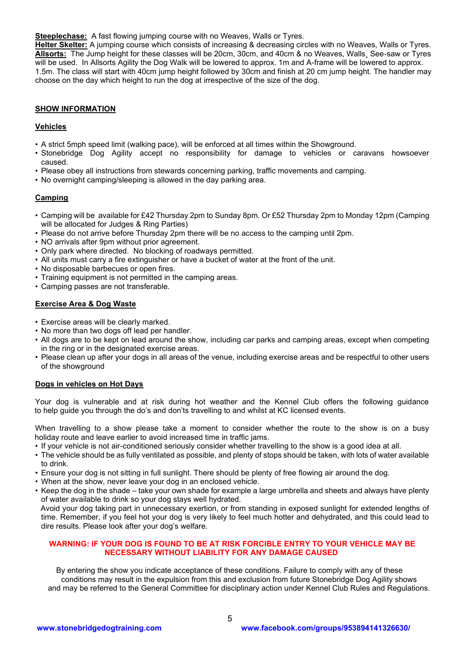**Steeplechase:** A fast flowing jumping course with no Weaves, Walls or Tyres.

**Helter Skelter:** A jumping course which consists of increasing & decreasing circles with no Weaves, Walls or Tyres. **Allsorts:** The Jump height for these classes will be 20cm, 30cm, and 40cm & no Weaves, Walls¸ See-saw or Tyres will be used. In Allsorts Agility the Dog Walk will be lowered to approx. 1m and A-frame will be lowered to approx. 1.5m. The class will start with 40cm jump height followed by 30cm and finish at 20 cm jump height. The handler may choose on the day which height to run the dog at irrespective of the size of the dog.

#### **SHOW INFORMATION**

#### **Vehicles**

- A strict 5mph speed limit (walking pace), will be enforced at all times within the Showground.
- Stonebridge Dog Agility accept no responsibility for damage to vehicles or caravans howsoever caused.
- Please obey all instructions from stewards concerning parking, traffic movements and camping.
- No overnight camping/sleeping is allowed in the day parking area.

#### **Camping**

- Camping will be available for £42 Thursday 2pm to Sunday 8pm. Or £52 Thursday 2pm to Monday 12pm (Camping will be allocated for Judges & Ring Parties)
- Please do not arrive before Thursday 2pm there will be no access to the camping until 2pm.
- NO arrivals after 9pm without prior agreement.
- Only park where directed. No blocking of roadways permitted.
- All units must carry a fire extinguisher or have a bucket of water at the front of the unit.
- No disposable barbecues or open fires.
- Training equipment is not permitted in the camping areas.
- Camping passes are not transferable.

#### **Exercise Area & Dog Waste**

- Exercise areas will be clearly marked.
- No more than two dogs off lead per handler.
- All dogs are to be kept on lead around the show, including car parks and camping areas, except when competing in the ring or in the designated exercise areas.
- Please clean up after your dogs in all areas of the venue, including exercise areas and be respectful to other users of the showground

#### **Dogs in vehicles on Hot Days**

Your dog is vulnerable and at risk during hot weather and the Kennel Club offers the following guidance to help guide you through the do's and don'ts travelling to and whilst at KC licensed events.

When travelling to a show please take a moment to consider whether the route to the show is on a busy holiday route and leave earlier to avoid increased time in traffic jams.

- If your vehicle is not air-conditioned seriously consider whether travelling to the show is a good idea at all.
- The vehicle should be as fully ventilated as possible, and plenty of stops should be taken, with lots of water available to drink.
- Ensure your dog is not sitting in full sunlight. There should be plenty of free flowing air around the dog.
- When at the show, never leave your dog in an enclosed vehicle.
- Keep the dog in the shade take your own shade for example a large umbrella and sheets and always have plenty of water available to drink so your dog stays well hydrated.

Avoid your dog taking part in unnecessary exertion, or from standing in exposed sunlight for extended lengths of time. Remember, if you feel hot your dog is very likely to feel much hotter and dehydrated, and this could lead to dire results. Please look after your dog's welfare.

#### **WARNING: IF YOUR DOG IS FOUND TO BE AT RISK FORCIBLE ENTRY TO YOUR VEHICLE MAY BE NECESSARY WITHOUT LIABILITY FOR ANY DAMAGE CAUSED**

By entering the show you indicate acceptance of these conditions. Failure to comply with any of these conditions may result in the expulsion from this and exclusion from future Stonebridge Dog Agility shows and may be referred to the General Committee for disciplinary action under Kennel Club Rules and Regulations.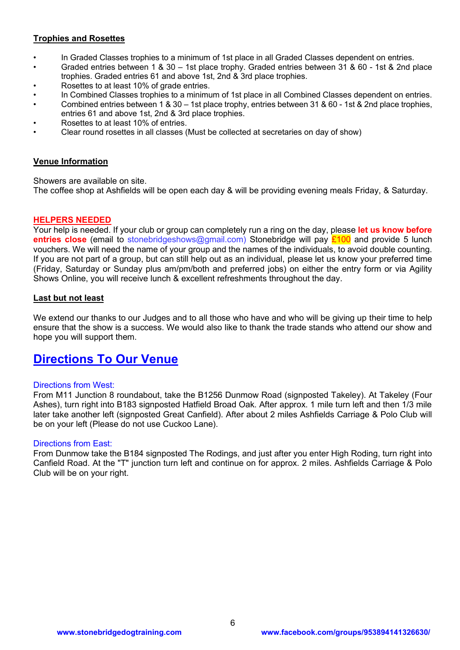## **Trophies and Rosettes**

- In Graded Classes trophies to a minimum of 1st place in all Graded Classes dependent on entries.
- Graded entries between 1 & 30 1st place trophy. Graded entries between 31 & 60 1st & 2nd place trophies. Graded entries 61 and above 1st, 2nd & 3rd place trophies.
- Rosettes to at least 10% of grade entries.
- In Combined Classes trophies to a minimum of 1st place in all Combined Classes dependent on entries.
- Combined entries between 1 & 30 1st place trophy, entries between 31 & 60 1st & 2nd place trophies, entries 61 and above 1st, 2nd & 3rd place trophies.
- Rosettes to at least 10% of entries.
- Clear round rosettes in all classes (Must be collected at secretaries on day of show)

### **Venue Information**

Showers are available on site.

The coffee shop at Ashfields will be open each day & will be providing evening meals Friday, & Saturday.

## **HELPERS NEEDED**

Your help is needed. If your club or group can completely run a ring on the day, please **let us know before entries close** (email to stonebridgeshows@gmail.com) Stonebridge will pay £100 and provide 5 lunch vouchers. We will need the name of your group and the names of the individuals, to avoid double counting. If you are not part of a group, but can still help out as an individual, please let us know your preferred time (Friday, Saturday or Sunday plus am/pm/both and preferred jobs) on either the entry form or via Agility Shows Online, you will receive lunch & excellent refreshments throughout the day.

## **Last but not least**

We extend our thanks to our Judges and to all those who have and who will be giving up their time to help ensure that the show is a success. We would also like to thank the trade stands who attend our show and hope you will support them.

## **Directions To Our Venue**

## Directions from West:

From M11 Junction 8 roundabout, take the B1256 Dunmow Road (signposted Takeley). At Takeley (Four Ashes), turn right into B183 signposted Hatfield Broad Oak. After approx. 1 mile turn left and then 1/3 mile later take another left (signposted Great Canfield). After about 2 miles Ashfields Carriage & Polo Club will be on your left (Please do not use Cuckoo Lane).

## Directions from East:

From Dunmow take the B184 signposted The Rodings, and just after you enter High Roding, turn right into Canfield Road. At the "T" junction turn left and continue on for approx. 2 miles. Ashfields Carriage & Polo Club will be on your right.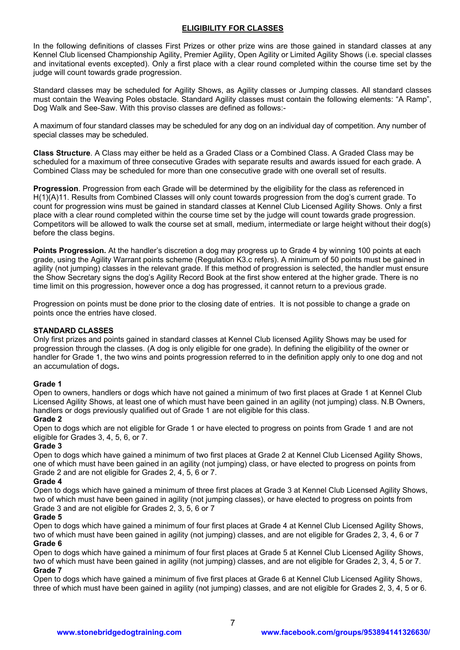### **ELIGIBILITY FOR CLASSES**

In the following definitions of classes First Prizes or other prize wins are those gained in standard classes at any Kennel Club licensed Championship Agility, Premier Agility, Open Agility or Limited Agility Shows (i.e. special classes and invitational events excepted). Only a first place with a clear round completed within the course time set by the judge will count towards grade progression.

Standard classes may be scheduled for Agility Shows, as Agility classes or Jumping classes. All standard classes must contain the Weaving Poles obstacle. Standard Agility classes must contain the following elements: "A Ramp", Dog Walk and See-Saw. With this proviso classes are defined as follows:-

A maximum of four standard classes may be scheduled for any dog on an individual day of competition. Any number of special classes may be scheduled.

**Class Structure**. A Class may either be held as a Graded Class or a Combined Class. A Graded Class may be scheduled for a maximum of three consecutive Grades with separate results and awards issued for each grade. A Combined Class may be scheduled for more than one consecutive grade with one overall set of results.

**Progression**. Progression from each Grade will be determined by the eligibility for the class as referenced in H(1)(A)11. Results from Combined Classes will only count towards progression from the dog's current grade. To count for progression wins must be gained in standard classes at Kennel Club Licensed Agility Shows. Only a first place with a clear round completed within the course time set by the judge will count towards grade progression. Competitors will be allowed to walk the course set at small, medium, intermediate or large height without their dog(s) before the class begins.

**Points Progression.** At the handler's discretion a dog may progress up to Grade 4 by winning 100 points at each grade, using the Agility Warrant points scheme (Regulation K3.c refers). A minimum of 50 points must be gained in agility (not jumping) classes in the relevant grade. If this method of progression is selected, the handler must ensure the Show Secretary signs the dog's Agility Record Book at the first show entered at the higher grade. There is no time limit on this progression, however once a dog has progressed, it cannot return to a previous grade.

Progression on points must be done prior to the closing date of entries. It is not possible to change a grade on points once the entries have closed.

### **STANDARD CLASSES**

Only first prizes and points gained in standard classes at Kennel Club licensed Agility Shows may be used for progression through the classes. (A dog is only eligible for one grade). In defining the eligibility of the owner or handler for Grade 1, the two wins and points progression referred to in the definition apply only to one dog and not an accumulation of dogs**.** 

### **Grade 1**

Open to owners, handlers or dogs which have not gained a minimum of two first places at Grade 1 at Kennel Club Licensed Agility Shows, at least one of which must have been gained in an agility (not jumping) class. N.B Owners, handlers or dogs previously qualified out of Grade 1 are not eligible for this class.

#### **Grade 2**

Open to dogs which are not eligible for Grade 1 or have elected to progress on points from Grade 1 and are not eligible for Grades 3, 4, 5, 6, or 7.

#### **Grade 3**

Open to dogs which have gained a minimum of two first places at Grade 2 at Kennel Club Licensed Agility Shows, one of which must have been gained in an agility (not jumping) class, or have elected to progress on points from Grade 2 and are not eligible for Grades 2, 4, 5, 6 or 7.

### **Grade 4**

Open to dogs which have gained a minimum of three first places at Grade 3 at Kennel Club Licensed Agility Shows, two of which must have been gained in agility (not jumping classes), or have elected to progress on points from Grade 3 and are not eligible for Grades 2, 3, 5, 6 or 7

#### **Grade 5**

Open to dogs which have gained a minimum of four first places at Grade 4 at Kennel Club Licensed Agility Shows, two of which must have been gained in agility (not jumping) classes, and are not eligible for Grades 2, 3, 4, 6 or 7 **Grade 6**

Open to dogs which have gained a minimum of four first places at Grade 5 at Kennel Club Licensed Agility Shows, two of which must have been gained in agility (not jumping) classes, and are not eligible for Grades 2, 3, 4, 5 or 7. **Grade 7**

Open to dogs which have gained a minimum of five first places at Grade 6 at Kennel Club Licensed Agility Shows, three of which must have been gained in agility (not jumping) classes, and are not eligible for Grades 2, 3, 4, 5 or 6.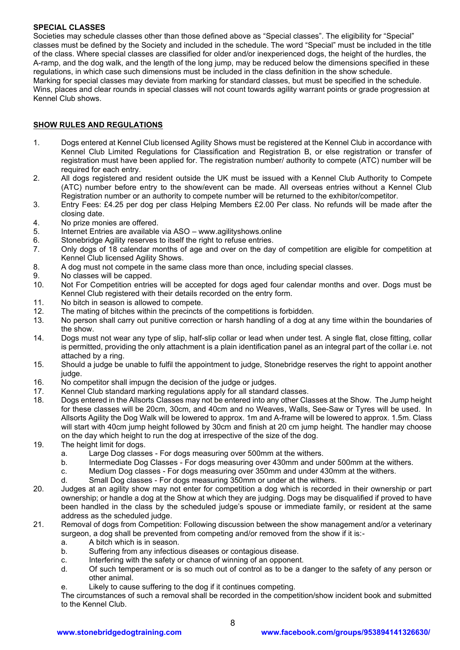### **SPECIAL CLASSES**

Societies may schedule classes other than those defined above as "Special classes". The eligibility for "Special" classes must be defined by the Society and included in the schedule. The word "Special" must be included in the title of the class. Where special classes are classified for older and/or inexperienced dogs, the height of the hurdles, the A-ramp, and the dog walk, and the length of the long jump, may be reduced below the dimensions specified in these regulations, in which case such dimensions must be included in the class definition in the show schedule. Marking for special classes may deviate from marking for standard classes, but must be specified in the schedule. Wins, places and clear rounds in special classes will not count towards agility warrant points or grade progression at Kennel Club shows.

### **SHOW RULES AND REGULATIONS**

- 1. Dogs entered at Kennel Club licensed Agility Shows must be registered at the Kennel Club in accordance with Kennel Club Limited Regulations for Classification and Registration B, or else registration or transfer of registration must have been applied for. The registration number/ authority to compete (ATC) number will be required for each entry.
- 2. All dogs registered and resident outside the UK must be issued with a Kennel Club Authority to Compete (ATC) number before entry to the show/event can be made. All overseas entries without a Kennel Club Registration number or an authority to compete number will be returned to the exhibitor/competitor.
- 3. Entry Fees: £4.25 per dog per class Helping Members £2.00 Per class. No refunds will be made after the closing date.
- 4. No prize monies are offered.
- 5. Internet Entries are available via ASO www.agilityshows.online
- 6. Stonebridge Agility reserves to itself the right to refuse entries.
- 7. Only dogs of 18 calendar months of age and over on the day of competition are eligible for competition at Kennel Club licensed Agility Shows.
- 8. A dog must not compete in the same class more than once, including special classes.
- 9. No classes will be capped.
- 10. Not For Competition entries will be accepted for dogs aged four calendar months and over. Dogs must be Kennel Club registered with their details recorded on the entry form.
- 11. No bitch in season is allowed to compete.
- 12. The mating of bitches within the precincts of the competitions is forbidden.
- 13. No person shall carry out punitive correction or harsh handling of a dog at any time within the boundaries of the show.
- 14. Dogs must not wear any type of slip, half-slip collar or lead when under test. A single flat, close fitting, collar is permitted, providing the only attachment is a plain identification panel as an integral part of the collar i.e. not attached by a ring.
- 15. Should a judge be unable to fulfil the appointment to judge, Stonebridge reserves the right to appoint another judge.
- 16. No competitor shall impugn the decision of the judge or judges.
- 17. Kennel Club standard marking regulations apply for all standard classes.
- 18. Dogs entered in the Allsorts Classes may not be entered into any other Classes at the Show. The Jump height for these classes will be 20cm, 30cm, and 40cm and no Weaves, Walls, See-Saw or Tyres will be used. In Allsorts Agility the Dog Walk will be lowered to approx. 1m and A-frame will be lowered to approx. 1.5m. Class will start with 40cm jump height followed by 30cm and finish at 20 cm jump height. The handler may choose on the day which height to run the dog at irrespective of the size of the dog.
- 19. The height limit for dogs.
	- a. Large Dog classes For dogs measuring over 500mm at the withers.
	- b. Intermediate Dog Classes For dogs measuring over 430mm and under 500mm at the withers.
	- c. Medium Dog classes For dogs measuring over 350mm and under 430mm at the withers.
	- d. Small Dog classes For dogs measuring 350mm or under at the withers.
- 20. Judges at an agility show may not enter for competition a dog which is recorded in their ownership or part ownership; or handle a dog at the Show at which they are judging. Dogs may be disqualified if proved to have been handled in the class by the scheduled judge's spouse or immediate family, or resident at the same address as the scheduled judge.
- 21. Removal of dogs from Competition: Following discussion between the show management and/or a veterinary surgeon, a dog shall be prevented from competing and/or removed from the show if it is:
	- a. A bitch which is in season.
	- b. Suffering from any infectious diseases or contagious disease.
	- c. Interfering with the safety or chance of winning of an opponent.
	- d. Of such temperament or is so much out of control as to be a danger to the safety of any person or other animal.
	- e. Likely to cause suffering to the dog if it continues competing.

The circumstances of such a removal shall be recorded in the competition/show incident book and submitted to the Kennel Club.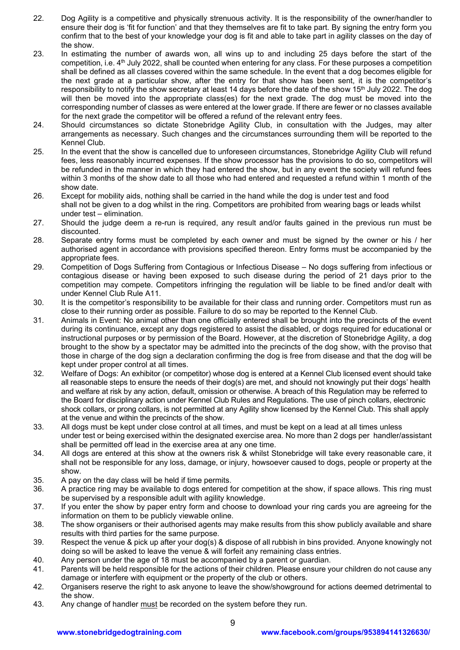- 22. Dog Agility is a competitive and physically strenuous activity. It is the responsibility of the owner/handler to ensure their dog is 'fit for function' and that they themselves are fit to take part. By signing the entry form you confirm that to the best of your knowledge your dog is fit and able to take part in agility classes on the day of the show.
- 23. In estimating the number of awards won, all wins up to and including 25 days before the start of the competition, i.e. 4<sup>th</sup> July 2022, shall be counted when entering for any class. For these purposes a competition shall be defined as all classes covered within the same schedule. In the event that a dog becomes eligible for the next grade at a particular show, after the entry for that show has been sent, it is the competitor's responsibility to notify the show secretary at least 14 days before the date of the show 15<sup>th</sup> July 2022. The dog will then be moved into the appropriate class(es) for the next grade. The dog must be moved into the corresponding number of classes as were entered at the lower grade. If there are fewer or no classes available for the next grade the competitor will be offered a refund of the relevant entry fees.
- 24. Should circumstances so dictate Stonebridge Agility Club, in consultation with the Judges, may alter arrangements as necessary. Such changes and the circumstances surrounding them will be reported to the Kennel Club.
- 25. In the event that the show is cancelled due to unforeseen circumstances, Stonebridge Agility Club will refund fees, less reasonably incurred expenses. If the show processor has the provisions to do so, competitors will be refunded in the manner in which they had entered the show, but in any event the society will refund fees within 3 months of the show date to all those who had entered and requested a refund within 1 month of the show date.
- 26. Except for mobility aids, nothing shall be carried in the hand while the dog is under test and food shall not be given to a dog whilst in the ring. Competitors are prohibited from wearing bags or leads whilst under test – elimination.
- 27. Should the judge deem a re-run is required, any result and/or faults gained in the previous run must be discounted.
- 28. Separate entry forms must be completed by each owner and must be signed by the owner or his / her authorised agent in accordance with provisions specified thereon. Entry forms must be accompanied by the appropriate fees.
- 29. Competition of Dogs Suffering from Contagious or Infectious Disease No dogs suffering from infectious or contagious disease or having been exposed to such disease during the period of 21 days prior to the competition may compete. Competitors infringing the regulation will be liable to be fined and/or dealt with under Kennel Club Rule A11.
- 30. It is the competitor's responsibility to be available for their class and running order. Competitors must run as close to their running order as possible. Failure to do so may be reported to the Kennel Club.
- 31. Animals in Event: No animal other than one officially entered shall be brought into the precincts of the event during its continuance, except any dogs registered to assist the disabled, or dogs required for educational or instructional purposes or by permission of the Board. However, at the discretion of Stonebridge Agility, a dog brought to the show by a spectator may be admitted into the precincts of the dog show, with the proviso that those in charge of the dog sign a declaration confirming the dog is free from disease and that the dog will be kept under proper control at all times.
- 32. Welfare of Dogs: An exhibitor (or competitor) whose dog is entered at a Kennel Club licensed event should take all reasonable steps to ensure the needs of their dog(s) are met, and should not knowingly put their dogs' health and welfare at risk by any action, default, omission or otherwise. A breach of this Regulation may be referred to the Board for disciplinary action under Kennel Club Rules and Regulations. The use of pinch collars, electronic shock collars, or prong collars, is not permitted at any Agility show licensed by the Kennel Club. This shall apply at the venue and within the precincts of the show.
- 33. All dogs must be kept under close control at all times, and must be kept on a lead at all times unless under test or being exercised within the designated exercise area. No more than 2 dogs per handler/assistant shall be permitted off lead in the exercise area at any one time.
- 34. All dogs are entered at this show at the owners risk & whilst Stonebridge will take every reasonable care, it shall not be responsible for any loss, damage, or injury, howsoever caused to dogs, people or property at the show.
- 35. A pay on the day class will be held if time permits.
- 36. A practice ring may be available to dogs entered for competition at the show, if space allows. This ring must be supervised by a responsible adult with agility knowledge.
- 37. If you enter the show by paper entry form and choose to download your ring cards you are agreeing for the information on them to be publicly viewable online.
- 38. The show organisers or their authorised agents may make results from this show publicly available and share results with third parties for the same purpose.
- 39. Respect the venue & pick up after your dog(s) & dispose of all rubbish in bins provided. Anyone knowingly not doing so will be asked to leave the venue & will forfeit any remaining class entries.
- 40. Any person under the age of 18 must be accompanied by a parent or guardian.
- 41. Parents will be held responsible for the actions of their children. Please ensure your children do not cause any damage or interfere with equipment or the property of the club or others.
- 42. Organisers reserve the right to ask anyone to leave the show/showground for actions deemed detrimental to the show.
- 43. Any change of handler must be recorded on the system before they run.